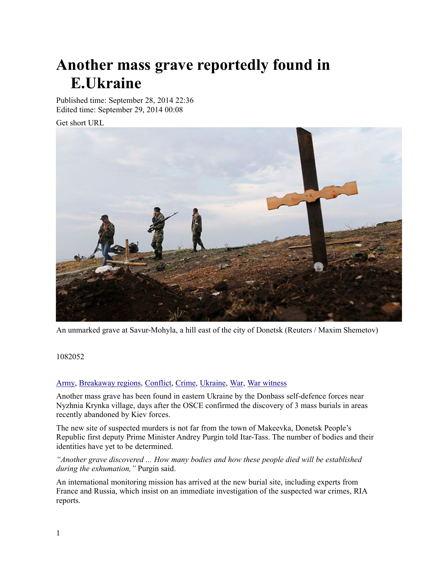# **Another mass grave reportedly found in .E Ukraine**

Published time: September 28, 2014 22:36 Edited time: September 29, 2014 00:08

Get short URL



An unmarked grave at Savur-Mohyla, a hill east of the city of Donetsk (Reuters / Maxim Shemetov)

1082052

#### Army, Breakaway regions, Conflict, Crime, Ukraine, War, War witness

A nother mass grave has been found in eastern Ukraine by the Donbass self-defence forces near Nyzhnia Krynka village, days after the OSCE confirmed the discovery of 3 mass burials in areas recently abandoned by Kiev forces.

The new site of suspected murders is not far from the town of Makeevka, Donetsk People's Republic first deputy Prime Minister Andrey Purgin told Itar-Tass. The number of bodies and their identities have yet to be determined.

"Another grave discovered ... How many bodies and how these people died will be established *during the exhumation,*" Purgin said.

An international monitoring mission has arrived at the new burial site, including experts from France and Russia, which insist on an immediate investigation of the suspected war crimes, RIA reports.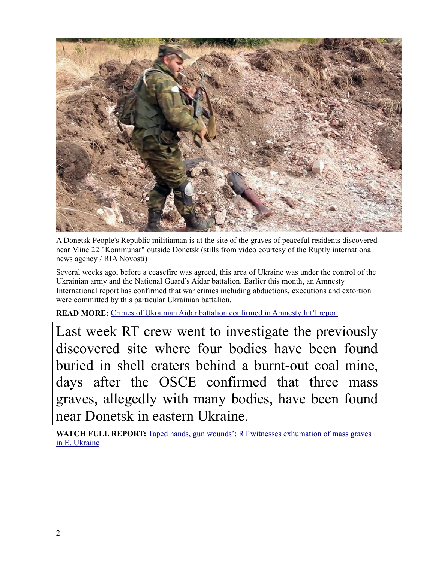

A Donetsk People's Republic militiaman is at the site of the graves of peaceful residents discovered near Mine 22 "Kommunar" outside Donetsk (stills from video courtesy of the Ruptly international news agency / RIA Novosti)

Several weeks ago, before a ceasefire was agreed, this area of Ukraine was under the control of the Ukrainian army and the National Guard's Aidar battalion. Earlier this month, an Amnesty International report has confirmed that war crimes including abductions, executions and extortion were committed by this particular Ukrainian battalion.

**READ MORE:** Crimes of Ukrainian Aidar battalion confirmed in Amnesty Int'l report

Last week RT crew went to investigate the previously discovered site where four bodies have been found buried in shell craters behind a burnt-out coal mine, days after the OSCE confirmed that three mass graves, allegedly with many bodies, have been found near Donetsk in eastern Ukraine.

**WATCH FULL REPORT:** Taped hands, gun wounds': RT witnesses exhumation of mass graves in E. Ukraine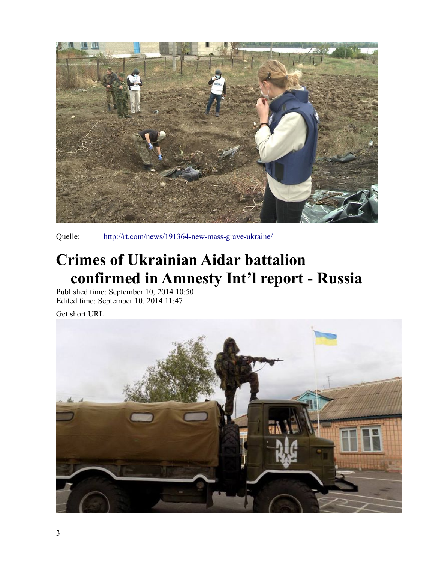

Quelle: http://rt.com/news/191364-new-mass-grave-ukraine/

# **Crimes of Ukrainian Aidar battalion CONSTANDING IN AMNESTY Int'l report - Russia**<br>Published time: September 10, 2014 10:50<br>Edited time: September 10, 2014 11:47

Get short URL

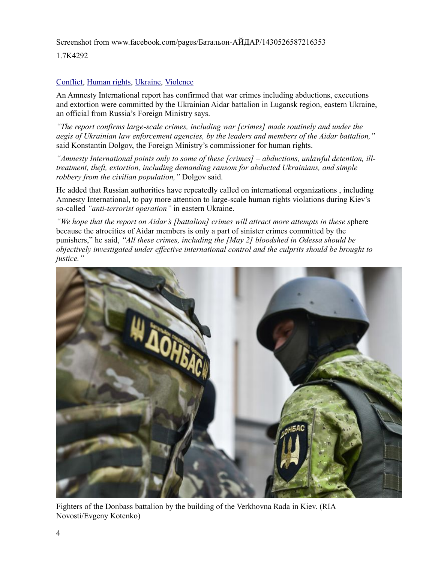Screenshot from www.facebook.com/pages/Батальон-АЙДАР/1430526587216353

1.7K4292

#### Conflict, Human rights, Ukraine, Violence

An Amnesty International report has confirmed that war crimes including abductions, executions and extortion were committed by the Ukrainian Aidar battalion in Lugansk region, eastern Ukraine, an official from Russia's Foreign Ministry says.

"The report confirms large-scale crimes, including war [crimes] made routinely and under the aegis of Ukrainian law enforcement agencies, by the leaders and members of the Aidar battalion," said Konstantin Dolgov, the Foreign Ministry's commissioner for human rights.

"Amnesty International points only to some of these [crimes] – abductions, unlawful detention, illtreatment, theft, extortion, including demanding ransom for abducted Ukrainians, and simple robbery from the civilian population," Dolgov said.

He added that Russian authorities have repeatedly called on international organizations, including Amnesty International, to pay more attention to large-scale human rights violations during Kiev's so-called "anti-terrorist operation" in eastern Ukraine.

"We hope that the report on Aidar's [battalion] crimes will attract more attempts in these sphere because the atrocities of Aidar members is only a part of sinister crimes committed by the punishers," he said, "All these crimes, including the [May 2] bloodshed in Odessa should be objectively investigated under effective international control and the culprits should be brought to justice."



Fighters of the Donbass battalion by the building of the Verkhovna Rada in Kiev. (RIA Novosti/Evgeny Kotenko)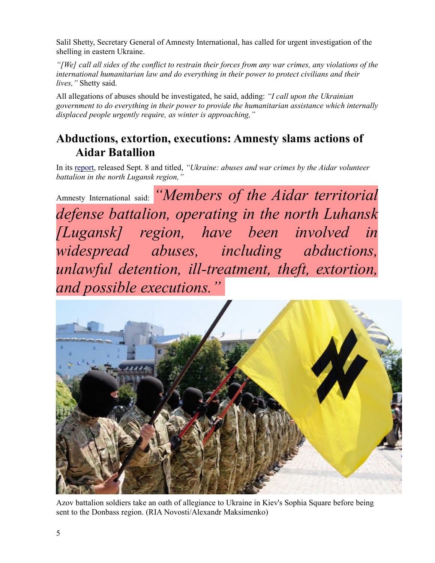Salil Shetty, Secretary General of Amnesty International, has called for urgent investigation of the shelling in eastern Ukraine.

"[We] call all sides of the conflict to restrain their forces from any war crimes, any violations of the international humanitarian law and do everything in their power to protect civilians and their lives," Shetty said.

All allegations of abuses should be investigated, he said, adding: "I call upon the Ukrainian government to do everything in their power to provide the humanitarian assistance which internally displaced people urgently require, as winter is approaching,"

### **Abductions, extortion, executions: Amnesty slams actions of Aidar Batallion**

In its report, released Sept. 8 and titled, "Ukraine: abuses and war crimes by the Aidar volunteer battalion in the north Lugansk region,"

Amnesty International said: "Members of the Aidar territorial defense battalion, operating in the north Luhansk [Lugansk] region, have been involved in widespread abuses, including abductions, unlawful detention, ill-treatment, theft, extortion, and possible executions."



Azov battalion soldiers take an oath of allegiance to Ukraine in Kiev's Sophia Square before being sent to the Donbass region. (RIA Novosti/Alexandr Maksimenko)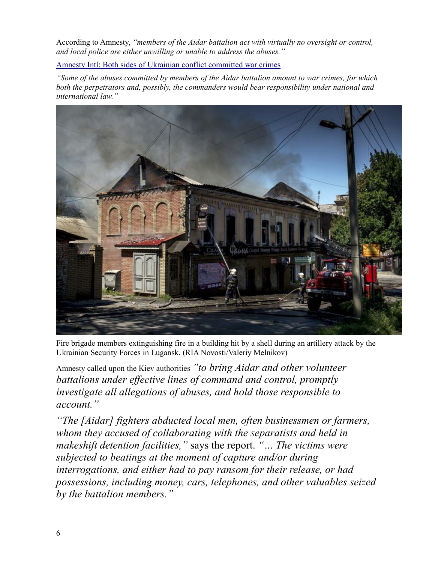According to Amnesty, "members of the Aidar battalion act with virtually no oversight or control, and local police are either unwilling or unable to address the abuses."

Amnesty Intl: Both sides of Ukrainian conflict committed war crimes

"Some of the abuses committed by members of the Aidar battalion amount to war crimes, for which both the perpetrators and, possibly, the commanders would bear responsibility under national and international law."



Fire brigade members extinguishing fire in a building hit by a shell during an artillery attack by the Ukrainian Security Forces in Lugansk. (RIA Novosti/Valeriy Melnikov)

Amnesty called upon the Kiev authorities "to bring Aidar and other volunteer" battalions under effective lines of command and control, promptly investigate all allegations of abuses, and hold those responsible to account."

"The [Aidar] fighters abducted local men, often businessmen or farmers, whom they accused of collaborating with the separatists and held in makeshift detention facilities," says the report. "... The victims were subjected to beatings at the moment of capture and/or during interrogations, and either had to pay ransom for their release, or had possessions, including money, cars, telephones, and other valuables seized by the battalion members."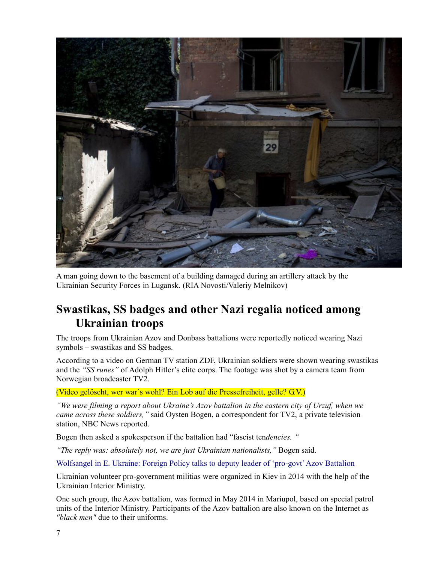

A man going down to the basement of a building damaged during an artillery attack by the Ukrainian Security Forces in Lugansk. (RIA Novosti/Valeriy Melnikov)

## **Swastikas, SS badges and other Nazi regalia noticed among Ukrainian troops**

The troops from Ukrainian Azov and Donbass battalions were reportedly noticed wearing Nazi symbols – swastikas and SS badges.

According to a video on German TV station ZDF, Ukrainian soldiers were shown wearing swastikas and the "*SS runes*" of Adolph Hitler's elite corps. The footage was shot by a camera team from Norwegian broadcaster TV2.

(Video gelöscht, wer war's wohl? Ein Lob auf die Pressefreiheit, gelle? G.V.)

"We were filming a report about Ukraine's Azov battalion in the eastern city of Urzuf, when we *came across these soldiers,* " said Oysten Bogen, a correspondent for TV2, a private television station, NBC News reported.

Bogen then asked a spokesperson if the battalion had "fascist tendencies. "

*The reply was: absolutely not, we are just Ukrainian nationalists, "Bogen said.* 

Wolfsangel in E. Ukraine: Foreign Policy talks to deputy leader of 'pro-govt' Azov Battalion

Ukrainian volunteer pro-government militias were organized in Kiev in 2014 with the help of the Ukrainian Interior Ministry.

One such group, the Azov battalion, was formed in May 2014 in Mariupol, based on special patrol units of the Interior Ministry. Participants of the Azov battalion are also known on the Internet as *"black men"* due to their uniforms.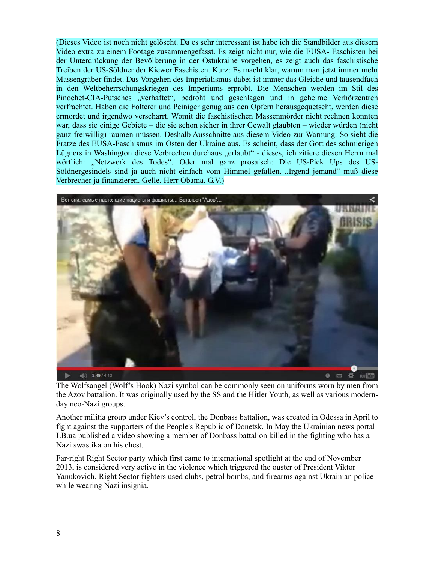(Dieses Video ist noch nicht gelöscht. Da es sehr interessant ist habe ich die Standbilder aus diesem Video extra zu einem Footage zusammengefasst. Es zeigt nicht nur, wie die EUSA- Faschisten bei der Unterdrückung der Bevölkerung in der Ostukraine vorgehen, es zeigt auch das faschistische Treiben der US-Söldner der Kiewer Faschisten. Kurz: Es macht klar, warum man jetzt immer mehr Massengräber findet. Das Vorgehen des Imperialismus dabei ist immer das Gleiche und tausendfach in den Weltbeherrschungskriegen des Imperiums erprobt. Die Menschen werden im Stil des Pinochet-CIA-Putsches "verhaftet", bedroht und geschlagen und in geheime Verhörzentren verfrachtet. Haben die Folterer und Peiniger genug aus den Opfern herausgeguetscht, werden diese ermordet und irgendwo verscharrt. Womit die faschistischen Massenmörder nicht rechnen konnten war, dass sie einige Gebiete – die sie schon sicher in ihrer Gewalt glaubten – wieder würden (nicht ganz freiwillig) räumen müssen. Deshalb Ausschnitte aus diesem Video zur Warnung: So sieht die Fratze des EUSA-Faschismus im Osten der Ukraine aus. Es scheint, dass der Gott des schmierigen Lügners in Washington diese Verbrechen durchaus "erlaubt" - dieses, ich zitiere diesen Herrn mal wörtlich: "Netzwerk des Todes". Oder mal ganz prosaisch: Die US-Pick Ups des US-Söldnergesindels sind ja auch nicht einfach vom Himmel gefallen. "Irgend jemand" muß diese Verbrecher ja finanzieren. Gelle, Herr Obama. G.V.)



The Wolfsangel (Wolf's Hook) Nazi symbol can be commonly seen on uniforms worn by men from the Azov battalion. It was originally used by the SS and the Hitler Youth, as well as various modernday neo-Nazi groups.

Another militia group under Kiev's control, the Donbass battalion, was created in Odessa in April to fight against the supporters of the People's Republic of Donetsk. In May the Ukrainian news portal LB ua published a video showing a member of Donbass battalion killed in the fighting who has a Nazi swastika on his chest.

Far-right Right Sector party which first came to international spotlight at the end of November 2013, is considered very active in the violence which triggered the ouster of President Viktor Yanukovich. Right Sector fighters used clubs, petrol bombs, and firearms against Ukrainian police while wearing Nazi insignia.